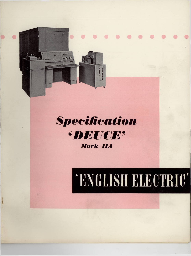

## **Specification** ·DEUCE' **Mark IIA**

# 'ENGLISH ELECTRIC'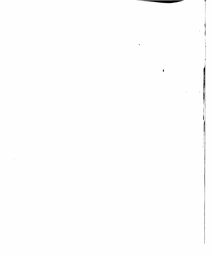$\mathcal{L}^{\pm}$  $\label{eq:2.1} \frac{1}{\sqrt{2}}\int_{\mathbb{R}^3}\frac{1}{\sqrt{2}}\left(\frac{1}{\sqrt{2}}\right)^2\frac{1}{\sqrt{2}}\left(\frac{1}{\sqrt{2}}\right)^2\frac{1}{\sqrt{2}}\left(\frac{1}{\sqrt{2}}\right)^2\frac{1}{\sqrt{2}}\left(\frac{1}{\sqrt{2}}\right)^2\frac{1}{\sqrt{2}}\left(\frac{1}{\sqrt{2}}\right)^2\frac{1}{\sqrt{2}}\frac{1}{\sqrt{2}}\frac{1}{\sqrt{2}}\frac{1}{\sqrt{2}}\frac{1}{\sqrt{2}}\frac{1}{\sqrt{2}}$  $\label{eq:2} \mathbf{C} = \mathbf{C} \mathbf{C} \mathbf{C} \mathbf{C} \mathbf{C} \mathbf{C} \mathbf{C} \mathbf{C} \mathbf{C} \mathbf{C} \mathbf{C} \mathbf{C} \mathbf{C} \mathbf{C} \mathbf{C} \mathbf{C} \mathbf{C} \mathbf{C} \mathbf{C} \mathbf{C} \mathbf{C} \mathbf{C} \mathbf{C} \mathbf{C} \mathbf{C} \mathbf{C} \mathbf{C} \mathbf{C} \mathbf{C} \mathbf{C} \mathbf{C} \mathbf{C} \mathbf{C} \mathbf{C} \math$  $\label{eq:2.1} \frac{1}{\sqrt{2}}\int_{\mathbb{R}^3}\frac{1}{\sqrt{2}}\left(\frac{1}{\sqrt{2}}\right)^2\frac{1}{\sqrt{2}}\left(\frac{1}{\sqrt{2}}\right)^2\frac{1}{\sqrt{2}}\left(\frac{1}{\sqrt{2}}\right)^2\frac{1}{\sqrt{2}}\left(\frac{1}{\sqrt{2}}\right)^2\frac{1}{\sqrt{2}}\left(\frac{1}{\sqrt{2}}\right)^2\frac{1}{\sqrt{2}}\frac{1}{\sqrt{2}}\frac{1}{\sqrt{2}}\frac{1}{\sqrt{2}}\frac{1}{\sqrt{2}}\frac{1}{\sqrt{2}}$  $\mathcal{L}_{\text{max}}$  $\mathcal{L}^{\mathcal{L}}$ 

 $\label{eq:2.1} \frac{1}{\sqrt{2}}\sum_{i=1}^n\frac{1}{\sqrt{2}}\sum_{i=1}^n\frac{1}{\sqrt{2}}\sum_{i=1}^n\frac{1}{\sqrt{2}}\sum_{i=1}^n\frac{1}{\sqrt{2}}\sum_{i=1}^n\frac{1}{\sqrt{2}}\sum_{i=1}^n\frac{1}{\sqrt{2}}\sum_{i=1}^n\frac{1}{\sqrt{2}}\sum_{i=1}^n\frac{1}{\sqrt{2}}\sum_{i=1}^n\frac{1}{\sqrt{2}}\sum_{i=1}^n\frac{1}{\sqrt{2}}\sum_{i=1}^n\frac$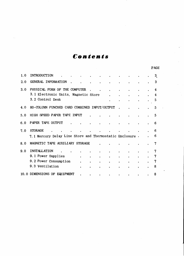*Contents*

PAGE

| 1.0 | INTRODUCTION                                             |  |  |  | 3              |
|-----|----------------------------------------------------------|--|--|--|----------------|
| 2.0 | GENERAL INFORMATION                                      |  |  |  | 3              |
| 3.0 | PHYSICAL FORM OF THE COMPUTER                            |  |  |  | 4              |
|     | 3.1 Electronic Units, Magnetic Store                     |  |  |  | 4              |
|     | 3.2 Control Desk                                         |  |  |  | 5              |
| 4.0 | 80-COLUMN PUNCHED CARD COMBINED INPUT/OUTPUT             |  |  |  | 5              |
| 5.0 | HIGH SPEED PAPER TAPE INPUT                              |  |  |  | $\overline{5}$ |
| 6.0 | PAPER TAPE OUTPUT                                        |  |  |  | 6              |
| 7.0 | <b>STORAGE</b>                                           |  |  |  | 6              |
|     | 7.1 Mercury Delay Line Store and Thermostatic Enclosure. |  |  |  | 6              |
| 8.0 | MAGNETIC TAPE AUXILIARY STORAGE                          |  |  |  | 7              |
| 9.0 | INSTALLATION                                             |  |  |  | 7              |
|     | 9.1 Power Supplies                                       |  |  |  | 7              |
|     | 9.2 Power Consumption                                    |  |  |  | 7              |
|     | 9.3 Ventilation                                          |  |  |  | 8              |
|     | 10.0 DIMENSIONS OF EQUIPMENT                             |  |  |  | 8              |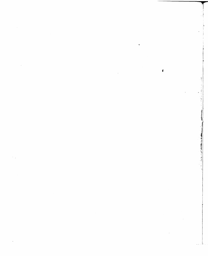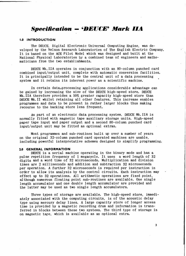#### *Specification — ^DEUCE9 Mark IIA*

#### **1.0 INTRODUCTION**

The DEUCE. Digital Electronic Universal Computing Engine, was developed by the Nelson Research Laboratories of The English Electric Company. It is based on the ACE Pilot Model which was designed and built at the National Physical Laboratories by a combined team of engineers and mathematicians from the two establishments.

DEUCE Mk. IIA operates in conjunction with an 80-column punched card combined input/output unit, complete with automatic conversion facilities. It is principally intended to be the central unit of <sup>a</sup> data processing system and it retains its inherent power as <sup>a</sup> scientific machine.

In certain data/processing applications considerable advantage can be gained by increasing the size of the DEUCE high-speed store. DEUCE Mk. IIA therefore provides a 50% greater capacity high-speed store than DEUCE Mk. II whilst retaining all other features. This increase enables programmes and data to be present in rather larger blocks thus making recourse to the backing store less ffequent.

As part of an electronic data processing system, DEUCE Mk. IIA is normally fitted with magnetic tape auxiliary storage units. High-speed paper tape input and paper output and a second 80-column punched card input/output unit may be fitted as optional extras.

Most programmes and sub-routines built up over a number of years on the original 32-column punched card operated machines are usable, including powerful interpretative schemes designed to simplify programming.

#### **2.0 GENERAL INFORMATION**

DEUCE is a serial machine operating in the binary mode and has a pulse repetition frequency of <sup>1</sup> megacycle. It uses <sup>a</sup> word length of <sup>32</sup> digits and a word time of 32 microseconds. Multiplication and division times are <sup>2</sup> milliseconds and addition and subtraction 32 microseconds per operation. <sup>A</sup> further 32 microseconds is required per instruction in order to allow its analysis by the control circuits. Each instruction may effect up to 32 operations. All arithmetic operations are fixed point, although numerous floating point sub-routines are available. One single length accumulator and one double length accumulator are provided and the latter may be used as two single length accumulators.

Three types of storage are available. The high-speed store, immediately associated with the computing circuits, is of the acoustic delay type using mercury delay lines. <sup>A</sup> large capacity store of longer access time is provided by a magnetic recording drum and information is transferred in blocks between these two systems. The third type of storage is on magnetic tape, which is available as an optional extra.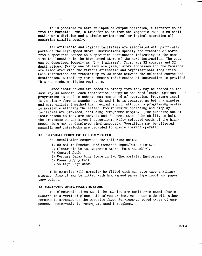It is possible to have an input or output operation, a transfer to of from the Magnetic Drum, a transfer to or from the Magnetic Tape, a multiplication or a division and a simple arithmetical or logical operation all occurring simultaneously.

All arithmetic and logical facilities are associated with particular parts of the high-speed store. Instructions specify the transfer of words from a specified source to a specified destination indicating at the same time the location in the high-speed store of the next instruction. The code can be described loosely as '2 + 1 address'. There are 32 sources and 32 destinations. Twenty one of each are direct store addresses and the remainder are associated with the various arithmetic and organisational facilities. Each instruction can transfer up to 32 words between the selected source and destination. <sup>A</sup> facility for automatic modification of instruction is provided. This has eight modifying registers.

Since instructions are coded in binary form they may be stored in the same way as numbers, each instruction occupying one word length. Optimum programming is used to achieve maximum speed of operation. Programme input is in binary form on punched cards and this is regarded as being a simpler and more efficient method than decimal input, although a programming system is available allowing the latter. Comprehensive operating and display facilities are provided, including 'Programme Display' (the punching out of instructions as they are obeyed) and 'Request Stop' (the ability to halt the programme on any given instruction). Fifty selected words of the highspeed store may be displayed simultaneously. Operations may be effected manually and interlocks are provided to ensure correct operation.

#### **3.0 PHYSICAL FORM OF THE COMPUTER**

An installation comprises the following units:-

- 1) 80-column Punched Card Combined Input/Output Unit.
- 2) Electronic Units, Magnetic Store (Main Assembly).
- 3) Control Desk.
- 4) Mercury Delay Line Store in two Thermostatic Enclosures.
- 5) Power Supply Unit.
- 6) Voltage Regulator.

This computer will normally be fitted with magnetic tape auxiliary storage. Also it may be fitted with high-speed paper tape input and paper tape output.

#### **3.1 ELECTRONIC UNITS, MAGNETIC STORE**

The electronic circuits of the machine are built onto steel chasis mounted in a vertical plane, all valves projecting on one side with other components arranged on the opposite face. Services-approved types of component, conservatively rated, are used throughout.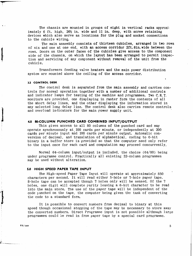The chassis are mounted in groups of eight in vertical racks approximately 6 ft. high,  $26\frac{1}{2}$  in. wide and 11 in. deep, with screw retaining devices which also serve as locations for the plug and socket connections to the cubicle wiring.

The main assembly consists of thirteen cubicles, arranged in two rows of six and one at one end, with an access corridor 2ft. 8in. wide between the rows. Doors on the outer faces of the cubicles give access to the component side of the chassis, on which the layout has been arranged to permit inspection and servicing of any component without removal of the unit from the cubicle.

Transformers feeding valve heaters and the main power distribution system are mounted above the ceiling of the access corridor.

#### **3.2 CONTROL DESK**

The control desk is separated from the main assembly and carries controls for normal operation together with a number of additional controls and indicator lamps for testing of the machine and programmes. Two C.R.T. monitors are provided, one displaying in raster form the contents of all the short delay lines, and the other displaying the information stored in any selected long delay line. The control desk also carries remote controls and overload indicators for the main power supply unit.

#### **4.0 80-COLUMN PUNCHED CARD COMBINED INPUT/OUTPUT**

This gives access to all 80 columns of the punched card and may operate synchronously at <sup>100</sup> cards per minute, or independently at 200 cards per minute input and 100 cards per minute output. Automatic conversion of decimal, and translation of alphabetical, coding to 6-bit binary in a buffer store is provided so that the computer need only refer to the input once for each card and computation may proceed concurrently,

Normal 64-column input/output is included, the choice (64/80) being under programme control. Practically all existing 32-column programmes may be used without alteration.

#### **5.0 HIGH SPEED PAPER TAPE INPUT**

The High-speed Paper Tape Input will operate at approximately 850 characters per second. It will read either 5-hole or 7-hole paper tape. 8-hole tape can be accepted though <sup>7</sup> holes only will be sensed. Of the <sup>7</sup> holes, one digit will complete parity leaving a 6-bit character to be read into the main store. The use of the paper tape will be independent of the code punched on the tape, the computer being given the task of converting the code to a standard form.

It is possible to convert numbers from decimal to binary at this speed though occasional stopping of the tape may be necessary to store away the converted numbers. Direct Programme input is not possible although large programmes could be read in from paper tape by a special card programme.

«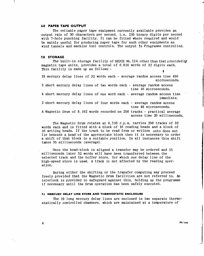#### **6.0 PAPER TAPE OUTPUT**

The reliable paper tape equipment currently available provides an output rate of <sup>30</sup> characters per second, i.e. <sup>210</sup> binary digits per second with 7-hole punching facility. It can be fitted where required and would be mainly useful for producing paper tape for such other equipments as wind tunnels and machine tool controls. The output fs Programme controlled.

#### **7.0 STORAGE**

**6**

The built-in storage facility of DEUCE Mk. IIA other than that provided by magnetic tape units, provides a total of 8,818 words of 32 digits each. This facility is made up as follows: -

<sup>19</sup> mercury delay lines of 32 words each - average random access time 496 microseconds.

<sup>3</sup> short mercury delay lines of two words each - average random access time 16 microseconds.

<sup>4</sup> short mercury delay lines of one word each - average random access time immediate.

<sup>2</sup> short mercury delay lines of four words each - average random access time 48 microseconds.

<sup>A</sup> Magnetic Drum of 8,192 words recorded on 256 tracks - practical average access time 20 milliseconds.

The Magnetic Drum rotates at 6,510 r.p.m. carries 256 tracks of 32 words each and is fitted with a block of <sup>16</sup> reading heads and a block of <sup>16</sup> writing heads. If the track to be read from or written onto does not lie beneath <sup>a</sup> head of the appropriate block then it is necessary to order a shift of that block to a suitable position. In all instances this shift takes 35 milliseconds (average).

Once the head-block is aligned a transfer may be ordered and <sup>15</sup> milliseconds later <sup>32</sup> words will have been transferred between the selected track and the buffer store, for which one delay line of the high-speed store is used. <sup>A</sup> track is not affected by the reading operation.

During either the shifting or the transfer computing may proceed freely provided that the Magnetic Drum facilities are not referred to. An interlock is provided to safeguard against this, holding up the programme if necessary until the Drum operation has been safely executed.

#### **7.1 MERCURY DELAY LINE STORE AND THERMOSTATIC ENCLOSURE**

The <sup>19</sup> long mercury delay lines are enclosed in two separate thermostatically controlled chambers, which are maintained at a temperature of

**ES/ 149**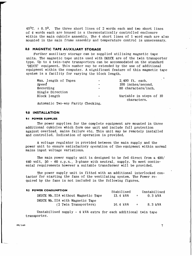45<sup>o</sup>C.  $\pm$  0.5<sup>o</sup>. The three short lines of 2 words each and two short lines of *<sup>4</sup>* words each are housed in a thermostatically controlled enclosure within the main cubicle assembly. The <sup>4</sup> short lines of <sup>1</sup> word each are also mounted in the main frame assembly and temperature control is unnecessary.

#### **8.0 MAGNETIC TAPE AUXILIARY STORAGE**

Further auxiliary storage can be supplied utilising magnetic tape units. The magnetic tape units used with DEUCE are of the twin transporter type. Up to 4 twin-tape transporters can be accommodated on the standard 'DEUCE' equipment. This number may be extended by the use of additional equipment within the computer. <sup>A</sup> significant feature of this magnetic tape system is a facility for varying the block length.

| Max. length of Tapes | $\bullet$ | 2.400 ft. each.                        |
|----------------------|-----------|----------------------------------------|
| Speed                |           | 100 inches/second.                     |
| Recording            |           | 80 characters/inch.                    |
| Single Direction     |           |                                        |
| Block length         |           | Variable in steps of 10<br>characters. |

Automatic Two-way Parity Checking.

#### **9.0 INSTALLATION**

#### **9-1 POWER SUPPLIES**

The power supplies for the complete equipment are mounted in three additional cubicles which form one unit and include full protection against overload, mains failure etc. This unit may be remotely installed and controlled. Indication of operation is provided.

<sup>A</sup> voltage regulator is provided between the main supply and the power unit to ensure satisfactory operation of the) equipment within normal mains input voltage variations.

The main power supply unit is designed to be fed direct from a 400/ <sup>440</sup> volt, <sup>50</sup> - <sup>60</sup> c.p.s., 3-phase with neutral, supply. To meet continental requirements however a suitable transformer will be provided.

The power supply unit is fitted with an additional interlocked contactor for starting the fans of the ventilating system. The Power required by the fans is not included in the following figures.

| 9.2 POWER CONSUMPTION               | Stabilised |     | Unstabilised |  |  |
|-------------------------------------|------------|-----|--------------|--|--|
| DEUCE Mk. IIA without Magnetic Tape | 13.4 kVA   | $+$ | 0.3 kVA      |  |  |
| DEUCE Mk. IIA with Magnetic Tape    |            |     |              |  |  |
| (2 Twin Transporters)               | 16.4 kVA   | $+$ | 8.3 kVA      |  |  |

Unstabilised supply - 4 kVA extra for each additional twin tape transporter.

«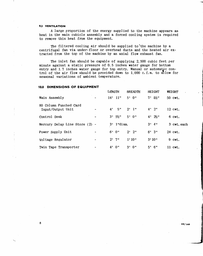#### **9.3 VENTILATION**

<sup>A</sup> large proportion of the energy supplied to the machine appears as heat in the main cubicle assembly and a forced cooling system is required to remove this heat from the equipment.

The filtered cooling air should be supplied to'the machine by a centrifugal fan via under-floor or overhead ducts and the heated air extracted from the top of the machine by an axial flow exhaust fan.

The inlet fan should be capable of supplying 2,500 cubic feet per minute against a static pressure of 0.5 inches water gauge for bottom entry and 1.7 inches water gauge for top entry. Manual or automatic control of the air flow should be provided down to 1,000 c.f.m. to allow for seasonal variations of ambient temperature.

#### **10.0 DIMENSIONS OF EQUIPMENT**

|                                             |                              | LENGTH                           | <b>BREADTH</b> | <b>HEIGHT</b>    | <b>WEIGHT</b> |
|---------------------------------------------|------------------------------|----------------------------------|----------------|------------------|---------------|
| Main Assembly                               | $\overline{\phantom{a}}$     | 11"<br>14'                       | 5'0''          | $7'5\frac{1}{2}$ | 50 cwt.       |
| 80 Column Punched Card<br>Input/Output Unit |                              | 4'<br>5"                         | $2'$ 1"        | 4'2"             | 12 cwt.       |
| Control Desk                                | $\overline{\phantom{m}}$     | $5\frac{1}{2}$ "<br>$3^{\prime}$ | 5'0''          | $4'$ $2'_{2}$ "  | 6 cwt.        |
| Mercury Delay Line Store (2) -              |                              | $3'$ 1"diam.                     |                | $3'$ 4"          | 3 cwt. each   |
| Power Supply Unit                           |                              | $6'$ $0''$                       | $2'$ $2''$     | $6'$ $3''$       | 24 cwt.       |
| Voltage Regulator                           | $\qquad \qquad \blacksquare$ | $2'$ 7"                          | 1'10''         | 3'10''           | 9 cwt.        |
| Twin Tape Transporter                       |                              | $4^{\prime}$<br>$\mathbf{0}$     | 3'0''          | $5'$ 6"          | 11 cwt.       |

N

**ES/149**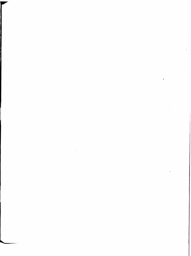

 $\hat{\boldsymbol{\beta}}$ 

 $\ddot{\phantom{a}}$ 

 $\epsilon$ 

 $\mathcal{L}^{\pm}$ 

 $\sim 400$ 

 $\ddot{\phantom{0}}$